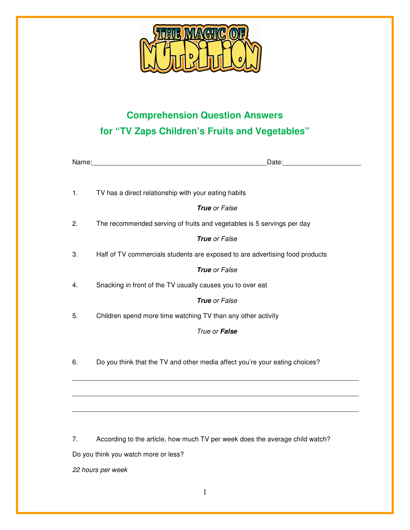

## **Comprehension Question Answers for "TV Zaps Children's Fruits and Vegetables"**

| Name: | Date:                                                                        |
|-------|------------------------------------------------------------------------------|
|       |                                                                              |
| 1.    | TV has a direct relationship with your eating habits                         |
|       | <b>True</b> or False                                                         |
| 2.    | The recommended serving of fruits and vegetables is 5 servings per day       |
|       | True or False                                                                |
| 3.    | Half of TV commercials students are exposed to are advertising food products |
|       | True or False                                                                |
| 4.    | Snacking in front of the TV usually causes you to over eat                   |
|       | <b>True</b> or False                                                         |
| 5.    | Children spend more time watching TV than any other activity                 |
|       | True or False                                                                |
|       |                                                                              |
| 6.    | Do you think that the TV and other media affect you're your eating choices?  |
|       |                                                                              |
|       |                                                                              |
|       |                                                                              |

7. According to the article, how much TV per week does the average child watch?

Do you think you watch more or less?

22 hours per week